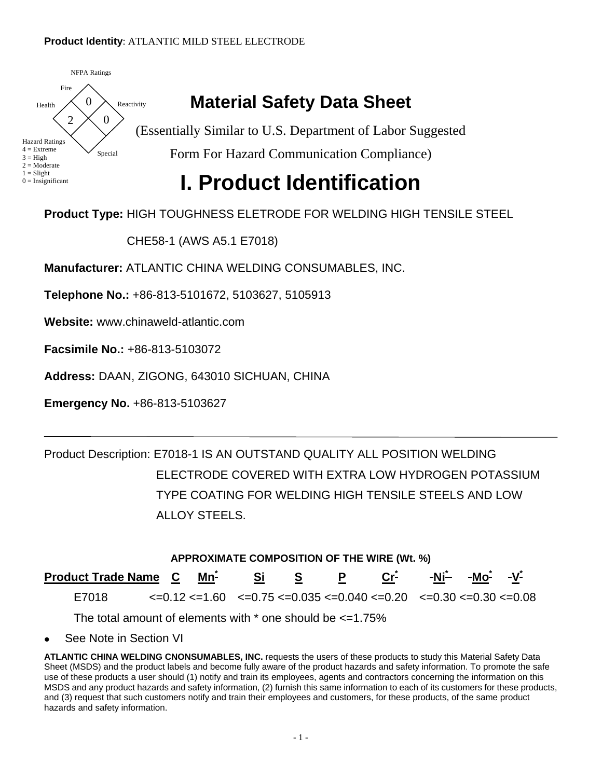#### **Product Identity**: ATLANTIC MILD STEEL ELECTRODE



#### **Material Safety Data Sheet**

(Essentially Similar to U.S. Department of Labor Suggested Form For Hazard Communication Compliance)

### **I. Product Identification**

**Product Type:** HIGH TOUGHNESS ELETRODE FOR WELDING HIGH TENSILE STEEL

CHE58-1 (AWS A5.1 E7018)

**Manufacturer:** ATLANTIC CHINA WELDING CONSUMABLES, INC.

**Telephone No.:** +86-813-5101672, 5103627, 5105913

**Website:** www.chinaweld-atlantic.com

**Facsimile No.:** +86-813-5103072

**Address:** DAAN, ZIGONG, 643010 SICHUAN, CHINA

**Emergency No.** +86-813-5103627

Product Description: E7018-1 IS AN OUTSTAND QUALITY ALL POSITION WELDING ELECTRODE COVERED WITH EXTRA LOW HYDROGEN POTASSIUM TYPE COATING FOR WELDING HIGH TENSILE STEELS AND LOW ALLOY STEELS.

| APPROXIMATE COMPOSITION OF THE WIRE (Wt. %)                                                                   |  |  |  |                                                                                                                                                            |  |  |  |  |  |  |  |
|---------------------------------------------------------------------------------------------------------------|--|--|--|------------------------------------------------------------------------------------------------------------------------------------------------------------|--|--|--|--|--|--|--|
| Product Trade Name C Mn <sup>2</sup> Si S P Cr <sup>2</sup> -Ni <sup>2</sup> -Mo <sup>2</sup> -V <sup>2</sup> |  |  |  |                                                                                                                                                            |  |  |  |  |  |  |  |
| E7018                                                                                                         |  |  |  | $\epsilon$ =0.12 $\epsilon$ =1.60 $\epsilon$ =0.75 $\epsilon$ =0.035 $\epsilon$ =0.040 $\epsilon$ =0.20 $\epsilon$ =0.30 $\epsilon$ =0.30 $\epsilon$ =0.08 |  |  |  |  |  |  |  |
| The total amount of elements with $*$ one should be $\leq$ =1.75%                                             |  |  |  |                                                                                                                                                            |  |  |  |  |  |  |  |

• See Note in Section VI

**ATLANTIC CHINA WELDING CNONSUMABLES, INC.** requests the users of these products to study this Material Safety Data Sheet (MSDS) and the product labels and become fully aware of the product hazards and safety information. To promote the safe use of these products a user should (1) notify and train its employees, agents and contractors concerning the information on this MSDS and any product hazards and safety information, (2) furnish this same information to each of its customers for these products, and (3) request that such customers notify and train their employees and customers, for these products, of the same product hazards and safety information.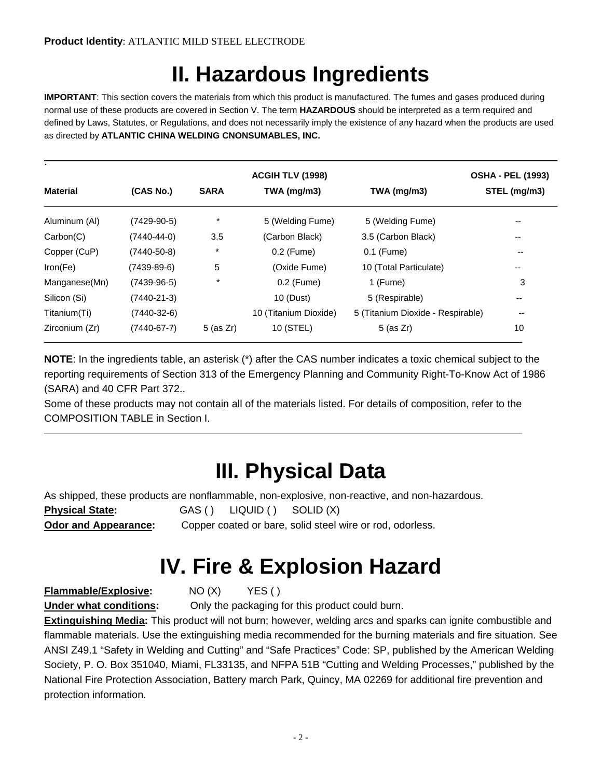## **II. Hazardous Ingredients**

**IMPORTANT**: This section covers the materials from which this product is manufactured. The fumes and gases produced during normal use of these products are covered in Section V. The term **HAZARDOUS** should be interpreted as a term required and defined by Laws, Statutes, or Regulations, and does not necessarily imply the existence of any hazard when the products are used as directed by **ATLANTIC CHINA WELDING CNONSUMABLES, INC.**

|                 |                   | <b>OSHA - PEL (1993)</b> |                       |                                   |                          |
|-----------------|-------------------|--------------------------|-----------------------|-----------------------------------|--------------------------|
| <b>Material</b> | (CAS No.)         | <b>SARA</b>              | $TWA$ (mg/m3)         | TWA (mg/m3)                       | STEL (mg/m3)             |
| Aluminum (AI)   | $(7429-90-5)$     | $\star$                  | 5 (Welding Fume)      | 5 (Welding Fume)                  | --                       |
| Carbon(C)       | $(7440 - 44 - 0)$ | 3.5                      | (Carbon Black)        | 3.5 (Carbon Black)                | --                       |
| Copper (CuP)    | $(7440 - 50 - 8)$ | $\star$                  | 0.2 (Fume)            | 0.1 (Fume)                        | --                       |
| Iron(Fe)        | $(7439-89-6)$     | 5                        | (Oxide Fume)          | 10 (Total Particulate)            | --                       |
| Manganese(Mn)   | $(7439-96-5)$     | $\star$                  | 0.2 (Fume)            | 1 (Fume)                          | 3                        |
| Silicon (Si)    | $(7440 - 21 - 3)$ |                          | 10 (Dust)             | 5 (Respirable)                    | --                       |
| Titanium(Ti)    | $(7440-32-6)$     |                          | 10 (Titanium Dioxide) | 5 (Titanium Dioxide - Respirable) | $\overline{\phantom{m}}$ |
| Zirconium (Zr)  | $(7440 - 67 - 7)$ | $5$ (as $Zr$ )           | 10 (STEL)             | $5$ (as $Zr$ )                    | 10                       |

**NOTE**: In the ingredients table, an asterisk (\*) after the CAS number indicates a toxic chemical subject to the reporting requirements of Section 313 of the Emergency Planning and Community Right-To-Know Act of 1986 (SARA) and 40 CFR Part 372..

Some of these products may not contain all of the materials listed. For details of composition, refer to the COMPOSITION TABLE in Section I.

### **III. Physical Data**

As shipped, these products are nonflammable, non-explosive, non-reactive, and non-hazardous.

**Physical State:** GAS () LIQUID () SOLID (X)

**Odor and Appearance:** Copper coated or bare, solid steel wire or rod, odorless.

## **IV. Fire & Explosion Hazard**

**Flammable/Explosive:** NO (X) YES ( )

**Under what conditions:** Only the packaging for this product could burn.

**Extinguishing Media:** This product will not burn; however, welding arcs and sparks can ignite combustible and flammable materials. Use the extinguishing media recommended for the burning materials and fire situation. See ANSI Z49.1 "Safety in Welding and Cutting" and "Safe Practices" Code: SP, published by the American Welding Society, P. O. Box 351040, Miami, FL33135, and NFPA 51B "Cutting and Welding Processes," published by the National Fire Protection Association, Battery march Park, Quincy, MA 02269 for additional fire prevention and protection information.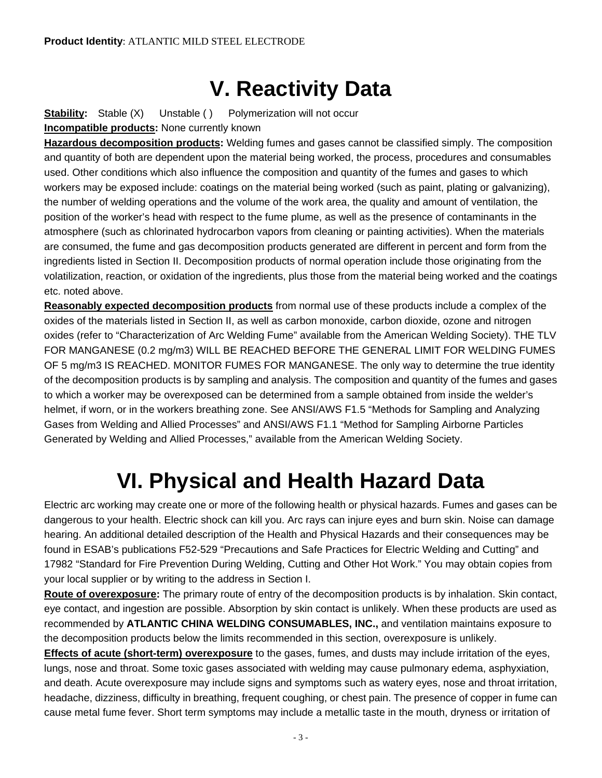### **V. Reactivity Data**

**Stability:** Stable (X) Unstable () Polymerization will not occur **Incompatible products:** None currently known

**Hazardous decomposition products:** Welding fumes and gases cannot be classified simply. The composition and quantity of both are dependent upon the material being worked, the process, procedures and consumables used. Other conditions which also influence the composition and quantity of the fumes and gases to which workers may be exposed include: coatings on the material being worked (such as paint, plating or galvanizing), the number of welding operations and the volume of the work area, the quality and amount of ventilation, the position of the worker's head with respect to the fume plume, as well as the presence of contaminants in the atmosphere (such as chlorinated hydrocarbon vapors from cleaning or painting activities). When the materials are consumed, the fume and gas decomposition products generated are different in percent and form from the ingredients listed in Section II. Decomposition products of normal operation include those originating from the volatilization, reaction, or oxidation of the ingredients, plus those from the material being worked and the coatings etc. noted above.

**Reasonably expected decomposition products** from normal use of these products include a complex of the oxides of the materials listed in Section II, as well as carbon monoxide, carbon dioxide, ozone and nitrogen oxides (refer to "Characterization of Arc Welding Fume" available from the American Welding Society). THE TLV FOR MANGANESE (0.2 mg/m3) WILL BE REACHED BEFORE THE GENERAL LIMIT FOR WELDING FUMES OF 5 mg/m3 IS REACHED. MONITOR FUMES FOR MANGANESE. The only way to determine the true identity of the decomposition products is by sampling and analysis. The composition and quantity of the fumes and gases to which a worker may be overexposed can be determined from a sample obtained from inside the welder's helmet, if worn, or in the workers breathing zone. See ANSI/AWS F1.5 "Methods for Sampling and Analyzing Gases from Welding and Allied Processes" and ANSI/AWS F1.1 "Method for Sampling Airborne Particles Generated by Welding and Allied Processes," available from the American Welding Society.

### **VI. Physical and Health Hazard Data**

Electric arc working may create one or more of the following health or physical hazards. Fumes and gases can be dangerous to your health. Electric shock can kill you. Arc rays can injure eyes and burn skin. Noise can damage hearing. An additional detailed description of the Health and Physical Hazards and their consequences may be found in ESAB's publications F52-529 "Precautions and Safe Practices for Electric Welding and Cutting" and 17982 "Standard for Fire Prevention During Welding, Cutting and Other Hot Work." You may obtain copies from your local supplier or by writing to the address in Section I.

**Route of overexposure:** The primary route of entry of the decomposition products is by inhalation. Skin contact, eye contact, and ingestion are possible. Absorption by skin contact is unlikely. When these products are used as recommended by **ATLANTIC CHINA WELDING CONSUMABLES, INC.,** and ventilation maintains exposure to the decomposition products below the limits recommended in this section, overexposure is unlikely.

**Effects of acute (short-term) overexposure** to the gases, fumes, and dusts may include irritation of the eyes, lungs, nose and throat. Some toxic gases associated with welding may cause pulmonary edema, asphyxiation, and death. Acute overexposure may include signs and symptoms such as watery eyes, nose and throat irritation, headache, dizziness, difficulty in breathing, frequent coughing, or chest pain. The presence of copper in fume can cause metal fume fever. Short term symptoms may include a metallic taste in the mouth, dryness or irritation of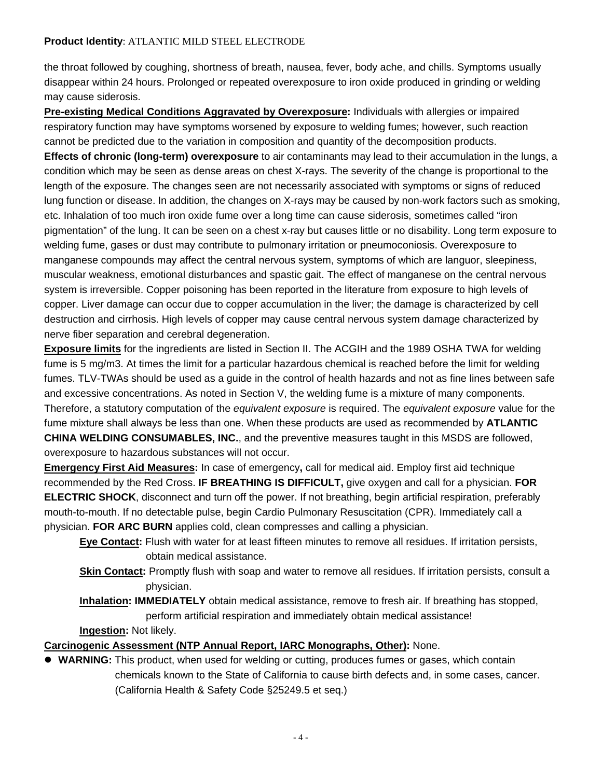#### **Product Identity**: ATLANTIC MILD STEEL ELECTRODE

the throat followed by coughing, shortness of breath, nausea, fever, body ache, and chills. Symptoms usually disappear within 24 hours. Prolonged or repeated overexposure to iron oxide produced in grinding or welding may cause siderosis.

**Pre-existing Medical Conditions Aggravated by Overexposure:** Individuals with allergies or impaired respiratory function may have symptoms worsened by exposure to welding fumes; however, such reaction cannot be predicted due to the variation in composition and quantity of the decomposition products.

**Effects of chronic (long-term) overexposure** to air contaminants may lead to their accumulation in the lungs, a condition which may be seen as dense areas on chest X-rays. The severity of the change is proportional to the length of the exposure. The changes seen are not necessarily associated with symptoms or signs of reduced lung function or disease. In addition, the changes on X-rays may be caused by non-work factors such as smoking, etc. Inhalation of too much iron oxide fume over a long time can cause siderosis, sometimes called "iron pigmentation" of the lung. It can be seen on a chest x-ray but causes little or no disability. Long term exposure to welding fume, gases or dust may contribute to pulmonary irritation or pneumoconiosis. Overexposure to manganese compounds may affect the central nervous system, symptoms of which are languor, sleepiness, muscular weakness, emotional disturbances and spastic gait. The effect of manganese on the central nervous system is irreversible. Copper poisoning has been reported in the literature from exposure to high levels of copper. Liver damage can occur due to copper accumulation in the liver; the damage is characterized by cell destruction and cirrhosis. High levels of copper may cause central nervous system damage characterized by nerve fiber separation and cerebral degeneration.

**Exposure limits** for the ingredients are listed in Section II. The ACGIH and the 1989 OSHA TWA for welding fume is 5 mg/m3. At times the limit for a particular hazardous chemical is reached before the limit for welding fumes. TLV-TWAs should be used as a guide in the control of health hazards and not as fine lines between safe and excessive concentrations. As noted in Section V, the welding fume is a mixture of many components. Therefore, a statutory computation of the *equivalent exposure* is required. The *equivalent exposure* value for the fume mixture shall always be less than one. When these products are used as recommended by **ATLANTIC CHINA WELDING CONSUMABLES, INC.**, and the preventive measures taught in this MSDS are followed, overexposure to hazardous substances will not occur.

**Emergency First Aid Measures:** In case of emergency**,** call for medical aid. Employ first aid technique recommended by the Red Cross. **IF BREATHING IS DIFFICULT,** give oxygen and call for a physician. **FOR ELECTRIC SHOCK**, disconnect and turn off the power. If not breathing, begin artificial respiration, preferably mouth-to-mouth. If no detectable pulse, begin Cardio Pulmonary Resuscitation (CPR). Immediately call a physician. **FOR ARC BURN** applies cold, clean compresses and calling a physician.

- **Eye Contact:** Flush with water for at least fifteen minutes to remove all residues. If irritation persists, obtain medical assistance.
- **Skin Contact:** Promptly flush with soap and water to remove all residues. If irritation persists, consult a physician.

**Inhalation: IMMEDIATELY** obtain medical assistance, remove to fresh air. If breathing has stopped, perform artificial respiration and immediately obtain medical assistance!

**Ingestion:** Not likely.

#### **Carcinogenic Assessment (NTP Annual Report, IARC Monographs, Other):** None.

**• WARNING:** This product, when used for welding or cutting, produces fumes or gases, which contain chemicals known to the State of California to cause birth defects and, in some cases, cancer. (California Health & Safety Code §25249.5 et seq.)